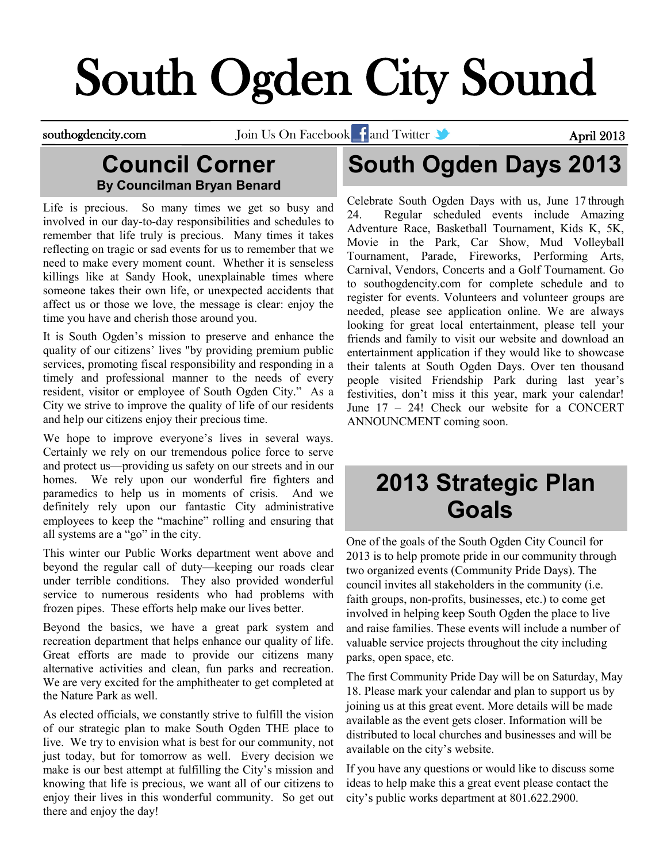# South Ogden City Sound

southogdencity.com Join Us On Facebook and Twitter and Twitter April 2013

#### **Council Corner By Councilman Bryan Benard**

Life is precious. So many times we get so busy and involved in our day-to-day responsibilities and schedules to remember that life truly is precious. Many times it takes reflecting on tragic or sad events for us to remember that we need to make every moment count. Whether it is senseless killings like at Sandy Hook, unexplainable times where someone takes their own life, or unexpected accidents that affect us or those we love, the message is clear: enjoy the time you have and cherish those around you.

It is South Ogden's mission to preserve and enhance the quality of our citizens' lives "by providing premium public services, promoting fiscal responsibility and responding in a timely and professional manner to the needs of every resident, visitor or employee of South Ogden City." As a City we strive to improve the quality of life of our residents and help our citizens enjoy their precious time.

We hope to improve everyone's lives in several ways. Certainly we rely on our tremendous police force to serve and protect us—providing us safety on our streets and in our homes. We rely upon our wonderful fire fighters and paramedics to help us in moments of crisis. And we definitely rely upon our fantastic City administrative employees to keep the "machine" rolling and ensuring that all systems are a "go" in the city.

This winter our Public Works department went above and beyond the regular call of duty—keeping our roads clear under terrible conditions. They also provided wonderful service to numerous residents who had problems with frozen pipes. These efforts help make our lives better.

Beyond the basics, we have a great park system and recreation department that helps enhance our quality of life. Great efforts are made to provide our citizens many alternative activities and clean, fun parks and recreation. We are very excited for the amphitheater to get completed at the Nature Park as well.

As elected officials, we constantly strive to fulfill the vision of our strategic plan to make South Ogden THE place to live. We try to envision what is best for our community, not just today, but for tomorrow as well. Every decision we make is our best attempt at fulfilling the City's mission and knowing that life is precious, we want all of our citizens to enjoy their lives in this wonderful community. So get out there and enjoy the day!

# **South Ogden Days 2013**

Celebrate South Ogden Days with us, June 17 through 24. Regular scheduled events include Amazing Adventure Race, Basketball Tournament, Kids K, 5K, Movie in the Park, Car Show, Mud Volleyball Tournament, Parade, Fireworks, Performing Arts, Carnival, Vendors, Concerts and a Golf Tournament. Go to southogdencity.com for complete schedule and to register for events. Volunteers and volunteer groups are needed, please see application online. We are always looking for great local entertainment, please tell your friends and family to visit our website and download an entertainment application if they would like to showcase their talents at South Ogden Days. Over ten thousand people visited Friendship Park during last year's festivities, don't miss it this year, mark your calendar! June 17 – 24! Check our website for a CONCERT ANNOUNCMENT coming soon.

### **2013 Strategic Plan Goals**

One of the goals of the South Ogden City Council for 2013 is to help promote pride in our community through two organized events (Community Pride Days). The council invites all stakeholders in the community (i.e. faith groups, non-profits, businesses, etc.) to come get involved in helping keep South Ogden the place to live and raise families. These events will include a number of valuable service projects throughout the city including parks, open space, etc.

The first Community Pride Day will be on Saturday, May 18. Please mark your calendar and plan to support us by joining us at this great event. More details will be made available as the event gets closer. Information will be distributed to local churches and businesses and will be available on the city's website.

If you have any questions or would like to discuss some ideas to help make this a great event please contact the city's public works department at 801.622.2900.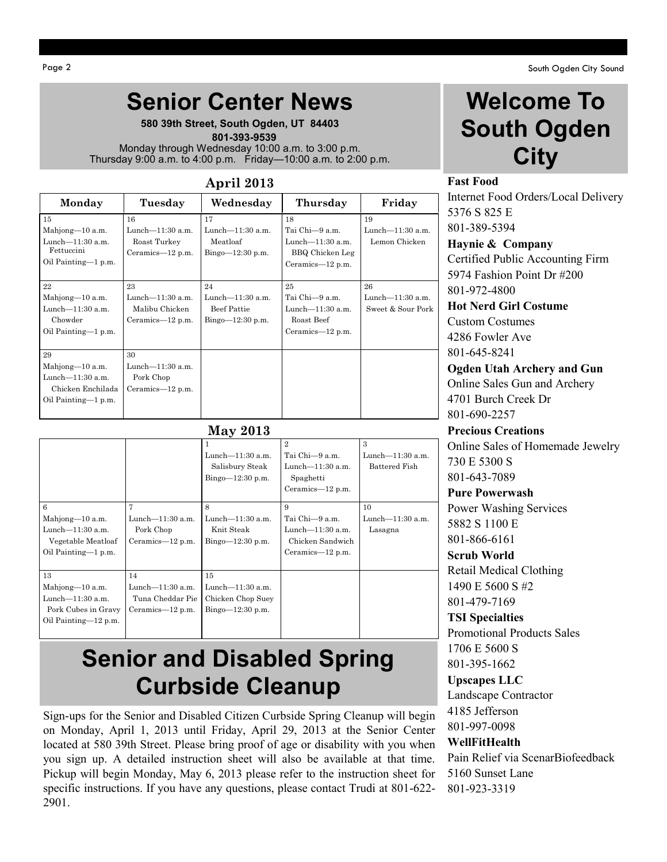# **Senior Center News**

**580 39th Street, South Ogden, UT 84403**  **801-393-9539** Monday through Wednesday 10:00 a.m. to 3:00 p.m. Thursday 9:00 a.m. to 4:00 p.m. Friday—10:00 a.m. to 2:00 p.m.

#### **April 2013**

| Monday              | Tuesday             | Wednesday           | Thursday            | Friday            |
|---------------------|---------------------|---------------------|---------------------|-------------------|
| 15                  | 16                  | 17                  | 18                  | 19                |
| Mahjong-10 a.m.     | Lunch-11:30 a.m.    | Lunch $-11:30$ a.m. | Tai Chi-9 a.m.      | Lunch-11:30 a.m.  |
| Lunch $-11:30$ a.m. | Roast Turkey        | Meatloaf            | Lunch $-11:30$ a.m. | Lemon Chicken     |
| Fettuccini          | Ceramics-12 p.m.    | $Bingo=12:30 p.m.$  | BBQ Chicken Leg     |                   |
| Oil Painting-1 p.m. |                     |                     | Ceramics-12 p.m.    |                   |
| 22                  | 23                  | 24                  | 25                  | 26                |
| Mahjong-10 a.m.     | Lunch-11:30 a.m.    | Lunch $-11:30$ a.m. | Tai Chi-9 a.m.      | Lunch-11:30 a.m.  |
| Lunch $-11:30$ a.m. | Malibu Chicken      | <b>Beef Pattie</b>  | Lunch $-11:30$ a.m. | Sweet & Sour Pork |
| Chowder             | Ceramics— $12$ p.m. | $Bingo=12:30 p.m.$  | Roast Beef          |                   |
| Oil Painting-1 p.m. |                     |                     | Ceramics— $12$ p.m. |                   |
|                     |                     |                     |                     |                   |
| 29                  | 30                  |                     |                     |                   |
| Mahjong-10 a.m.     | Lunch-11:30 a.m.    |                     |                     |                   |
| Lunch $-11:30$ a.m. | Pork Chop           |                     |                     |                   |
| Chicken Enchilada   | Ceramics-12 p.m.    |                     |                     |                   |
| Oil Painting—1 p.m. |                     |                     |                     |                   |
|                     |                     |                     |                     |                   |

|                                                                                             |                                                                   | <b>May 2013</b>                                                       |                                                                                           |                                        |
|---------------------------------------------------------------------------------------------|-------------------------------------------------------------------|-----------------------------------------------------------------------|-------------------------------------------------------------------------------------------|----------------------------------------|
|                                                                                             |                                                                   | Lunch-11:30 a.m.<br>Salisbury Steak<br>$Bingo=12:30 p.m.$             | $\mathbf{2}$<br>Tai Chi-9 a.m.<br>Lunch $-11:30$ a.m.<br>Spaghetti<br>Ceramics— $12$ p.m. | 3<br>Lunch-11:30 a.m.<br>Battered Fish |
| 6<br>Mahjong-10 a.m.<br>Lunch $-11:30$ a.m.<br>Vegetable Meatloaf<br>Oil Painting-1 p.m.    | 7<br>Lunch $-11:30$ a.m.<br>Pork Chop<br>Ceramics-12 p.m.         | 8<br>Lunch $-11:30$ a.m.<br>Knit Steak<br>Bingo $-12:30$ p.m.         | 9<br>Tai Chi-9 a.m.<br>Lunch $-11:30$ a.m.<br>Chicken Sandwich<br>Ceramics— $12$ p.m.     | 10<br>Lunch $-11:30$ a.m.<br>Lasagna   |
| 13<br>Mahjong-10 a.m.<br>Lunch $-11:30$ a.m.<br>Pork Cubes in Gravy<br>Oil Painting-12 p.m. | 14<br>Lunch $-11:30$ a.m.<br>Tuna Cheddar Pie<br>Ceramics—12 p.m. | 15<br>Lunch $-11:30$ a.m.<br>Chicken Chop Suey<br>Bingo $-12:30$ p.m. |                                                                                           |                                        |

#### **Senior and Disabled Spring Curbside Cleanup**

Sign-ups for the Senior and Disabled Citizen Curbside Spring Cleanup will begin on Monday, April 1, 2013 until Friday, April 29, 2013 at the Senior Center located at 580 39th Street. Please bring proof of age or disability with you when you sign up. A detailed instruction sheet will also be available at that time. Pickup will begin Monday, May 6, 2013 please refer to the instruction sheet for specific instructions. If you have any questions, please contact Trudi at 801-622- 2901.

### **Welcome To South Ogden City**

#### **Fast Food**

Internet Food Orders/Local Delivery 5376 S 825 E 801-389-5394

**Haynie & Company** Certified Public Accounting Firm 5974 Fashion Point Dr #200 801-972-4800

**Hot Nerd Girl Costume** Custom Costumes 4286 Fowler Ave

801-645-8241 **Ogden Utah Archery and Gun** Online Sales Gun and Archery 4701 Burch Creek Dr 801-690-2257

**Precious Creations** Online Sales of Homemade Jewelry 730 E 5300 S 801-643-7089

**Pure Powerwash** Power Washing Services 5882 S 1100 E

801-866-6161

#### **Scrub World**

Retail Medical Clothing 1490 E 5600 S #2 801-479-7169

**TSI Specialties** Promotional Products Sales 1706 E 5600 S 801-395-1662

**Upscapes LLC** Landscape Contractor 4185 Jefferson 801-997-0098

#### **WellFitHealth**

Pain Relief via ScenarBiofeedback 5160 Sunset Lane 801-923-3319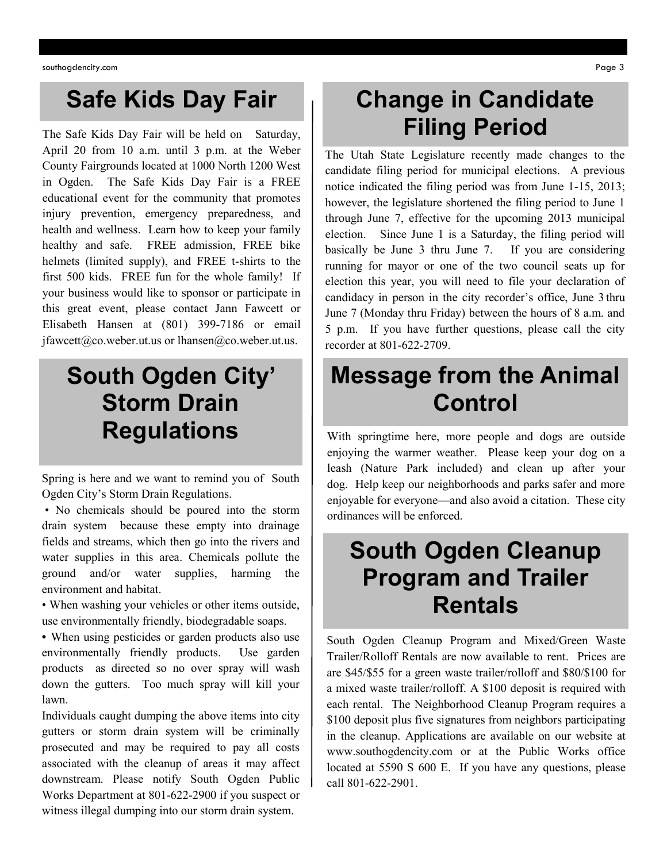#### **Safe Kids Day Fair**

The Safe Kids Day Fair will be held on Saturday, April 20 from 10 a.m. until 3 p.m. at the Weber County Fairgrounds located at 1000 North 1200 West in Ogden. The Safe Kids Day Fair is a FREE educational event for the community that promotes injury prevention, emergency preparedness, and health and wellness. Learn how to keep your family healthy and safe. FREE admission, FREE bike helmets (limited supply), and FREE t-shirts to the first 500 kids. FREE fun for the whole family! If your business would like to sponsor or participate in this great event, please contact Jann Fawcett or Elisabeth Hansen at (801) 399-7186 or email [jfawcett@co.weber.ut.us](mailto:jfawcett@co.weber.ut.us) or [lhansen@co.weber.ut.us.](mailto:lhansen@co.weber.ut.us)

### **South Ogden City' Storm Drain Regulations**

Spring is here and we want to remind you of South Ogden City's Storm Drain Regulations.

• No chemicals should be poured into the storm drain system because these empty into drainage fields and streams, which then go into the rivers and water supplies in this area. Chemicals pollute the ground and/or water supplies, harming the environment and habitat.

• When washing your vehicles or other items outside, use environmentally friendly, biodegradable soaps.

**•** When using pesticides or garden products also use environmentally friendly products. Use garden products as directed so no over spray will wash down the gutters. Too much spray will kill your lawn.

Individuals caught dumping the above items into city gutters or storm drain system will be criminally prosecuted and may be required to pay all costs associated with the cleanup of areas it may affect downstream. Please notify South Ogden Public Works Department at 801-622-2900 if you suspect or witness illegal dumping into our storm drain system.

#### **Change in Candidate Filing Period**

The Utah State Legislature recently made changes to the candidate filing period for municipal elections. A previous notice indicated the filing period was from June 1-15, 2013; however, the legislature shortened the filing period to June 1 through June 7, effective for the upcoming 2013 municipal election. Since June 1 is a Saturday, the filing period will basically be June 3 thru June 7. If you are considering running for mayor or one of the two council seats up for election this year, you will need to file your declaration of candidacy in person in the city recorder's office, June 3 thru June 7 (Monday thru Friday) between the hours of 8 a.m. and 5 p.m. If you have further questions, please call the city recorder at 801-622-2709.

#### **Message from the Animal Control**

With springtime here, more people and dogs are outside enjoying the warmer weather. Please keep your dog on a leash (Nature Park included) and clean up after your dog. Help keep our neighborhoods and parks safer and more enjoyable for everyone—and also avoid a citation. These city ordinances will be enforced.

#### **South Ogden Cleanup Program and Trailer Rentals**

South Ogden Cleanup Program and Mixed/Green Waste Trailer/Rolloff Rentals are now available to rent. Prices are are \$45/\$55 for a green waste trailer/rolloff and \$80/\$100 for a mixed waste trailer/rolloff. A \$100 deposit is required with each rental. The Neighborhood Cleanup Program requires a \$100 deposit plus five signatures from neighbors participating in the cleanup. Applications are available on our website at www.southogdencity.com or at the Public Works office located at 5590 S 600 E. If you have any questions, please call 801-622-2901.